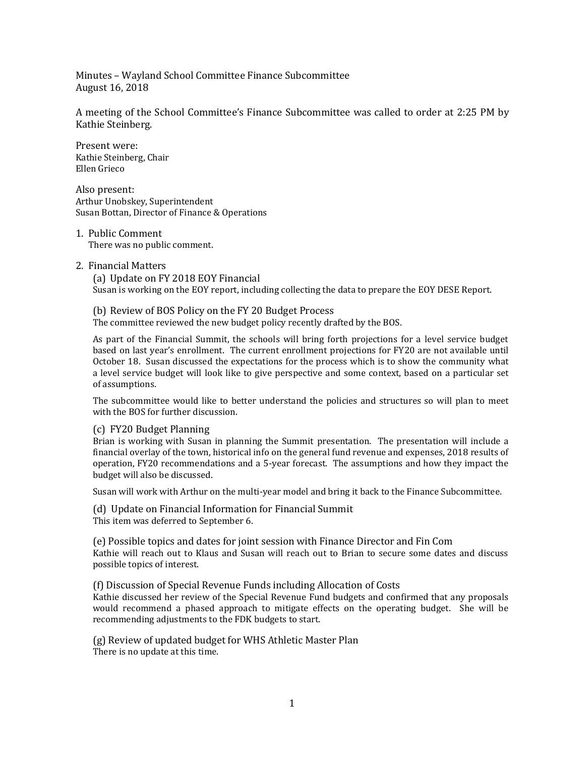Minutes – Wayland School Committee Finance Subcommittee August 16, 2018

A meeting of the School Committee's Finance Subcommittee was called to order at 2:25 PM by Kathie Steinberg.

Present were: Kathie Steinberg, Chair Ellen Grieco

Also present: Arthur Unobskey, Superintendent Susan Bottan, Director of Finance & Operations

1. Public Comment There was no public comment.

## 2. Financial Matters

(a) Update on FY 2018 EOY Financial Susan is working on the EOY report, including collecting the data to prepare the EOY DESE Report.

(b) Review of BOS Policy on the FY 20 Budget Process The committee reviewed the new budget policy recently drafted by the BOS.

As part of the Financial Summit, the schools will bring forth projections for a level service budget based on last year's enrollment. The current enrollment projections for FY20 are not available until October 18. Susan discussed the expectations for the process which is to show the community what a level service budget will look like to give perspective and some context, based on a particular set of assumptions.

The subcommittee would like to better understand the policies and structures so will plan to meet with the BOS for further discussion.

## (c) FY20 Budget Planning

Brian is working with Susan in planning the Summit presentation. The presentation will include a financial overlay of the town, historical info on the general fund revenue and expenses, 2018 results of operation, FY20 recommendations and a 5-year forecast. The assumptions and how they impact the budget will also be discussed.

Susan will work with Arthur on the multi-year model and bring it back to the Finance Subcommittee.

(d) Update on Financial Information for Financial Summit This item was deferred to September 6.

(e) Possible topics and dates for joint session with Finance Director and Fin Com Kathie will reach out to Klaus and Susan will reach out to Brian to secure some dates and discuss possible topics of interest.

(f) Discussion of Special Revenue Funds including Allocation of Costs

Kathie discussed her review of the Special Revenue Fund budgets and confirmed that any proposals would recommend a phased approach to mitigate effects on the operating budget. She will be recommending adjustments to the FDK budgets to start.

(g) Review of updated budget for WHS Athletic Master Plan There is no update at this time.